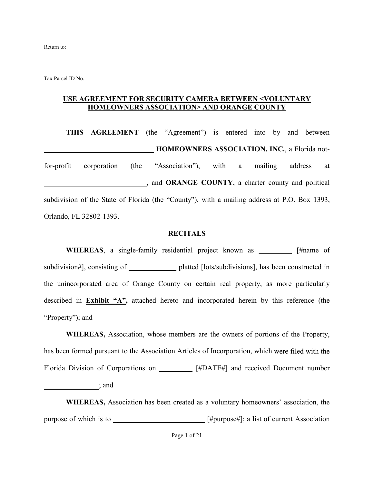Return to:

Tax Parcel ID No.

#### **USE AGREEMENT FOR SECURITY CAMERA BETWEEN <VOLUNTARY HOMEOWNERS ASSOCIATION> AND ORANGE COUNTY**

**THIS AGREEMENT** (the "Agreement") is entered into by and between **HOMEOWNERS ASSOCIATION, INC., a Florida not**for-profit corporation (the "Association"), with a mailing address at \_\_\_\_\_\_\_\_\_\_\_\_\_\_\_\_\_\_\_\_\_\_\_\_\_\_\_\_, and **ORANGE COUNTY**, a charter county and political subdivision of the State of Florida (the "County"), with a mailing address at P.O. Box 1393, Orlando, FL 32802-1393.

#### **RECITALS**

**WHEREAS**, a single-family residential project known as **\_\_\_\_\_\_\_\_\_** [#name of subdivision#], consisting of **\_\_\_\_\_\_\_\_\_\_\_\_\_** platted [lots/subdivisions], has been constructed in the unincorporated area of Orange County on certain real property, as more particularly described in **Exhibit "A",** attached hereto and incorporated herein by this reference (the "Property"); and

**WHEREAS,** Association, whose members are the owners of portions of the Property, has been formed pursuant to the Association Articles of Incorporation, which were filed with the Florida Division of Corporations on **\_\_\_\_\_\_\_\_\_** [#DATE#] and received Document number **\_\_\_\_\_\_\_\_\_\_\_\_\_\_\_**; and

**WHEREAS,** Association has been created as a voluntary homeowners' association, the purpose of which is to \_\_\_\_\_\_\_\_\_\_\_\_\_\_\_\_\_\_\_\_\_\_\_\_\_\_\_\_[#purpose#]; a list of current Association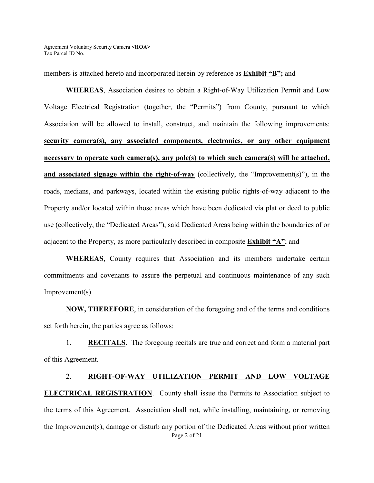members is attached hereto and incorporated herein by reference as **Exhibit "B";** and

**WHEREAS**, Association desires to obtain a Right-of-Way Utilization Permit and Low Voltage Electrical Registration (together, the "Permits") from County, pursuant to which Association will be allowed to install, construct, and maintain the following improvements: **security camera(s), any associated components, electronics, or any other equipment necessary to operate such camera(s), any pole(s) to which such camera(s) will be attached, and associated signage within the right-of-way** (collectively, the "Improvement(s)"), in the roads, medians, and parkways, located within the existing public rights-of-way adjacent to the Property and/or located within those areas which have been dedicated via plat or deed to public use (collectively, the "Dedicated Areas"), said Dedicated Areas being within the boundaries of or adjacent to the Property, as more particularly described in composite **Exhibit "A"**; and

**WHEREAS**, County requires that Association and its members undertake certain commitments and covenants to assure the perpetual and continuous maintenance of any such Improvement(s).

**NOW, THEREFORE**, in consideration of the foregoing and of the terms and conditions set forth herein, the parties agree as follows:

1. **RECITALS**. The foregoing recitals are true and correct and form a material part of this Agreement.

# Page 2 of 21 2. **RIGHT-OF-WAY UTILIZATION PERMIT AND LOW VOLTAGE ELECTRICAL REGISTRATION.** County shall issue the Permits to Association subject to the terms of this Agreement. Association shall not, while installing, maintaining, or removing the Improvement(s), damage or disturb any portion of the Dedicated Areas without prior written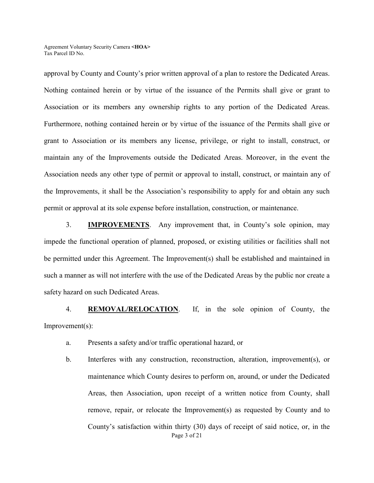approval by County and County's prior written approval of a plan to restore the Dedicated Areas. Nothing contained herein or by virtue of the issuance of the Permits shall give or grant to Association or its members any ownership rights to any portion of the Dedicated Areas. Furthermore, nothing contained herein or by virtue of the issuance of the Permits shall give or grant to Association or its members any license, privilege, or right to install, construct, or maintain any of the Improvements outside the Dedicated Areas. Moreover, in the event the Association needs any other type of permit or approval to install, construct, or maintain any of the Improvements, it shall be the Association's responsibility to apply for and obtain any such permit or approval at its sole expense before installation, construction, or maintenance.

3. **IMPROVEMENTS**. Any improvement that, in County's sole opinion, may impede the functional operation of planned, proposed, or existing utilities or facilities shall not be permitted under this Agreement. The Improvement(s) shall be established and maintained in such a manner as will not interfere with the use of the Dedicated Areas by the public nor create a safety hazard on such Dedicated Areas.

4. **REMOVAL/RELOCATION**. If, in the sole opinion of County, the Improvement(s):

- a. Presents a safety and/or traffic operational hazard, or
- Page 3 of 21 b. Interferes with any construction, reconstruction, alteration, improvement(s), or maintenance which County desires to perform on, around, or under the Dedicated Areas, then Association, upon receipt of a written notice from County, shall remove, repair, or relocate the Improvement(s) as requested by County and to County's satisfaction within thirty (30) days of receipt of said notice, or, in the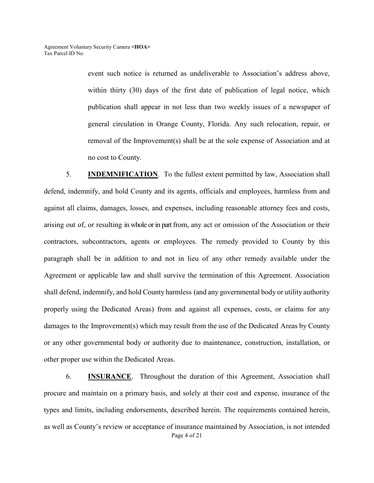event such notice is returned as undeliverable to Association's address above, within thirty (30) days of the first date of publication of legal notice, which publication shall appear in not less than two weekly issues of a newspaper of general circulation in Orange County, Florida. Any such relocation, repair, or removal of the Improvement(s) shall be at the sole expense of Association and at no cost to County.

5. **INDEMNIFICATION**. To the fullest extent permitted by law, Association shall defend, indemnify, and hold County and its agents, officials and employees, harmless from and against all claims, damages, losses, and expenses, including reasonable attorney fees and costs, arising out of, or resulting in whole or in part from, any act or omission of the Association or their contractors, subcontractors, agents or employees. The remedy provided to County by this paragraph shall be in addition to and not in lieu of any other remedy available under the Agreement or applicable law and shall survive the termination of this Agreement. Association shall defend, indemnify, and hold County harmless (and any governmental body or utility authority properly using the Dedicated Areas) from and against all expenses, costs, or claims for any damages to the Improvement(s) which may result from the use of the Dedicated Areas by County or any other governmental body or authority due to maintenance, construction, installation, or other proper use within the Dedicated Areas.

Page 4 of 21 6. **INSURANCE**. Throughout the duration of this Agreement, Association shall procure and maintain on a primary basis, and solely at their cost and expense, insurance of the types and limits, including endorsements, described herein. The requirements contained herein, as well as County's review or acceptance of insurance maintained by Association, is not intended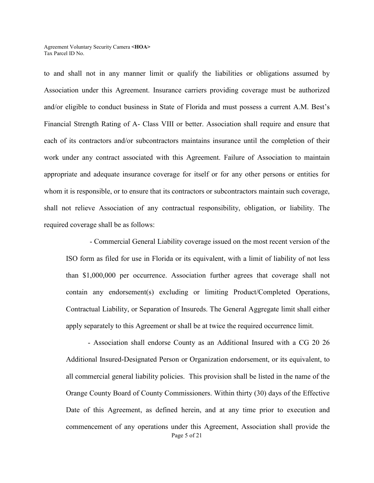to and shall not in any manner limit or qualify the liabilities or obligations assumed by Association under this Agreement. Insurance carriers providing coverage must be authorized and/or eligible to conduct business in State of Florida and must possess a current A.M. Best's Financial Strength Rating of A- Class VIII or better. Association shall require and ensure that each of its contractors and/or subcontractors maintains insurance until the completion of their work under any contract associated with this Agreement. Failure of Association to maintain appropriate and adequate insurance coverage for itself or for any other persons or entities for whom it is responsible, or to ensure that its contractors or subcontractors maintain such coverage, shall not relieve Association of any contractual responsibility, obligation, or liability. The required coverage shall be as follows:

- Commercial General Liability coverage issued on the most recent version of the ISO form as filed for use in Florida or its equivalent, with a limit of liability of not less than \$1,000,000 per occurrence. Association further agrees that coverage shall not contain any endorsement(s) excluding or limiting Product/Completed Operations, Contractual Liability, or Separation of Insureds. The General Aggregate limit shall either apply separately to this Agreement or shall be at twice the required occurrence limit.

Page 5 of 21 - Association shall endorse County as an Additional Insured with a CG 20 26 Additional Insured-Designated Person or Organization endorsement, or its equivalent, to all commercial general liability policies. This provision shall be listed in the name of the Orange County Board of County Commissioners. Within thirty (30) days of the Effective Date of this Agreement, as defined herein, and at any time prior to execution and commencement of any operations under this Agreement, Association shall provide the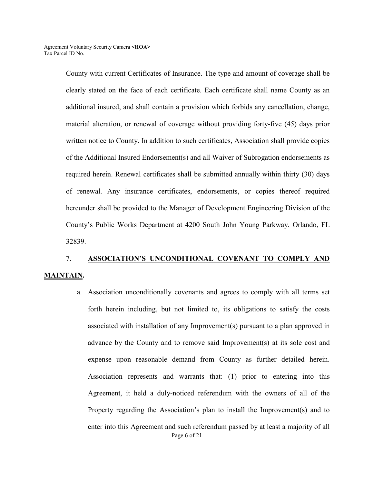County with current Certificates of Insurance. The type and amount of coverage shall be clearly stated on the face of each certificate. Each certificate shall name County as an additional insured, and shall contain a provision which forbids any cancellation, change, material alteration, or renewal of coverage without providing forty-five (45) days prior written notice to County. In addition to such certificates, Association shall provide copies of the Additional Insured Endorsement(s) and all Waiver of Subrogation endorsements as required herein. Renewal certificates shall be submitted annually within thirty (30) days of renewal. Any insurance certificates, endorsements, or copies thereof required hereunder shall be provided to the Manager of Development Engineering Division of the County's Public Works Department at 4200 South John Young Parkway, Orlando, FL 32839.

# 7. **ASSOCIATION'S UNCONDITIONAL COVENANT TO COMPLY AND MAINTAIN.**

Page 6 of 21 a. Association unconditionally covenants and agrees to comply with all terms set forth herein including, but not limited to, its obligations to satisfy the costs associated with installation of any Improvement(s) pursuant to a plan approved in advance by the County and to remove said Improvement(s) at its sole cost and expense upon reasonable demand from County as further detailed herein. Association represents and warrants that: (1) prior to entering into this Agreement, it held a duly-noticed referendum with the owners of all of the Property regarding the Association's plan to install the Improvement(s) and to enter into this Agreement and such referendum passed by at least a majority of all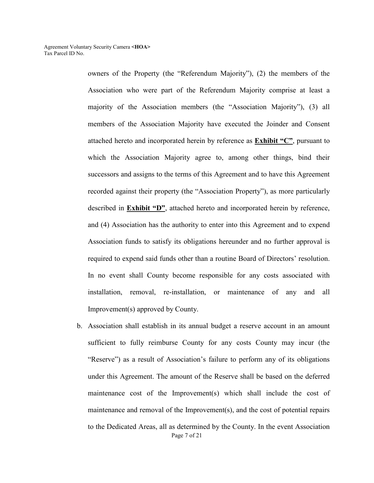owners of the Property (the "Referendum Majority"), (2) the members of the Association who were part of the Referendum Majority comprise at least a majority of the Association members (the "Association Majority"), (3) all members of the Association Majority have executed the Joinder and Consent attached hereto and incorporated herein by reference as **Exhibit "C"**, pursuant to which the Association Majority agree to, among other things, bind their successors and assigns to the terms of this Agreement and to have this Agreement recorded against their property (the "Association Property"), as more particularly described in **Exhibit "D"**, attached hereto and incorporated herein by reference, and (4) Association has the authority to enter into this Agreement and to expend Association funds to satisfy its obligations hereunder and no further approval is required to expend said funds other than a routine Board of Directors' resolution. In no event shall County become responsible for any costs associated with installation, removal, re-installation, or maintenance of any and all Improvement(s) approved by County.

Page 7 of 21 b. Association shall establish in its annual budget a reserve account in an amount sufficient to fully reimburse County for any costs County may incur (the "Reserve") as a result of Association's failure to perform any of its obligations under this Agreement. The amount of the Reserve shall be based on the deferred maintenance cost of the Improvement(s) which shall include the cost of maintenance and removal of the Improvement(s), and the cost of potential repairs to the Dedicated Areas, all as determined by the County. In the event Association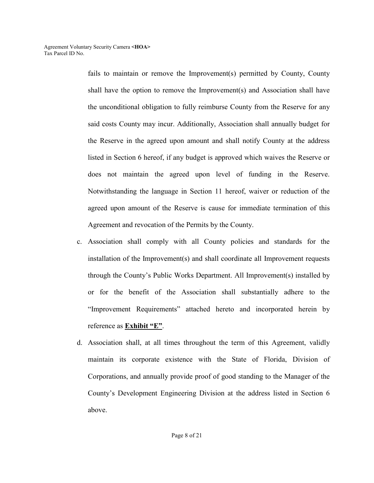fails to maintain or remove the Improvement(s) permitted by County, County shall have the option to remove the Improvement(s) and Association shall have the unconditional obligation to fully reimburse County from the Reserve for any said costs County may incur. Additionally, Association shall annually budget for the Reserve in the agreed upon amount and shall notify County at the address listed in Section 6 hereof, if any budget is approved which waives the Reserve or does not maintain the agreed upon level of funding in the Reserve. Notwithstanding the language in Section 11 hereof, waiver or reduction of the agreed upon amount of the Reserve is cause for immediate termination of this Agreement and revocation of the Permits by the County.

- c. Association shall comply with all County policies and standards for the installation of the Improvement(s) and shall coordinate all Improvement requests through the County's Public Works Department. All Improvement(s) installed by or for the benefit of the Association shall substantially adhere to the "Improvement Requirements" attached hereto and incorporated herein by reference as **Exhibit "E"**.
- d. Association shall, at all times throughout the term of this Agreement, validly maintain its corporate existence with the State of Florida, Division of Corporations, and annually provide proof of good standing to the Manager of the County's Development Engineering Division at the address listed in Section 6 above.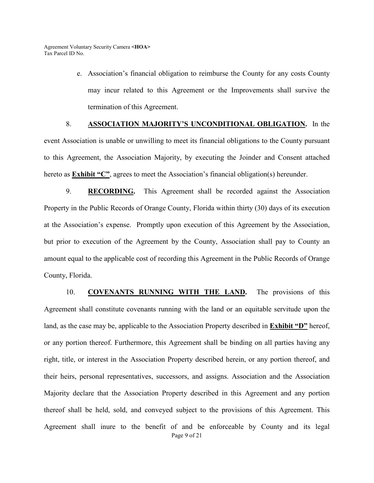e. Association's financial obligation to reimburse the County for any costs County may incur related to this Agreement or the Improvements shall survive the termination of this Agreement.

#### 8. **ASSOCIATION MAJORITY'S UNCONDITIONAL OBLIGATION.** In the

event Association is unable or unwilling to meet its financial obligations to the County pursuant to this Agreement, the Association Majority, by executing the Joinder and Consent attached hereto as **Exhibit "C"**, agrees to meet the Association's financial obligation(s) hereunder.

9. **RECORDING.** This Agreement shall be recorded against the Association Property in the Public Records of Orange County, Florida within thirty (30) days of its execution at the Association's expense. Promptly upon execution of this Agreement by the Association, but prior to execution of the Agreement by the County, Association shall pay to County an amount equal to the applicable cost of recording this Agreement in the Public Records of Orange County, Florida.

Page 9 of 21 10. **COVENANTS RUNNING WITH THE LAND.** The provisions of this Agreement shall constitute covenants running with the land or an equitable servitude upon the land, as the case may be, applicable to the Association Property described in **Exhibit "D"** hereof, or any portion thereof. Furthermore, this Agreement shall be binding on all parties having any right, title, or interest in the Association Property described herein, or any portion thereof, and their heirs, personal representatives, successors, and assigns. Association and the Association Majority declare that the Association Property described in this Agreement and any portion thereof shall be held, sold, and conveyed subject to the provisions of this Agreement. This Agreement shall inure to the benefit of and be enforceable by County and its legal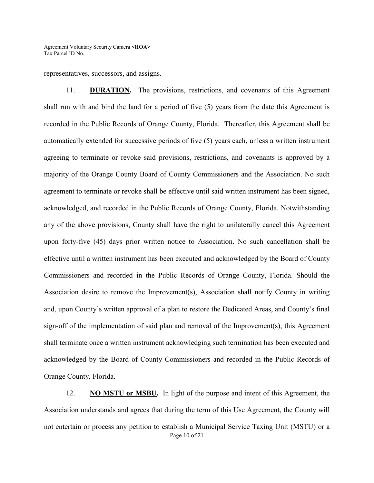representatives, successors, and assigns.

11. **DURATION.** The provisions, restrictions, and covenants of this Agreement shall run with and bind the land for a period of five (5) years from the date this Agreement is recorded in the Public Records of Orange County, Florida. Thereafter, this Agreement shall be automatically extended for successive periods of five (5) years each, unless a written instrument agreeing to terminate or revoke said provisions, restrictions, and covenants is approved by a majority of the Orange County Board of County Commissioners and the Association. No such agreement to terminate or revoke shall be effective until said written instrument has been signed, acknowledged, and recorded in the Public Records of Orange County, Florida. Notwithstanding any of the above provisions, County shall have the right to unilaterally cancel this Agreement upon forty-five (45) days prior written notice to Association. No such cancellation shall be effective until a written instrument has been executed and acknowledged by the Board of County Commissioners and recorded in the Public Records of Orange County, Florida. Should the Association desire to remove the Improvement(s), Association shall notify County in writing and, upon County's written approval of a plan to restore the Dedicated Areas, and County's final sign-off of the implementation of said plan and removal of the Improvement(s), this Agreement shall terminate once a written instrument acknowledging such termination has been executed and acknowledged by the Board of County Commissioners and recorded in the Public Records of Orange County, Florida.

Page 10 of 21 12. **NO MSTU or MSBU.** In light of the purpose and intent of this Agreement, the Association understands and agrees that during the term of this Use Agreement, the County will not entertain or process any petition to establish a Municipal Service Taxing Unit (MSTU) or a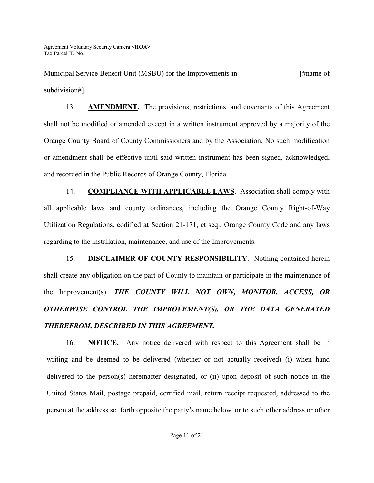Municipal Service Benefit Unit (MSBU) for the Improvements in **\_\_\_\_\_\_\_\_\_\_\_\_\_\_\_\_** [#name of subdivision#].

13. **AMENDMENT.** The provisions, restrictions, and covenants of this Agreement shall not be modified or amended except in a written instrument approved by a majority of the Orange County Board of County Commissioners and by the Association. No such modification or amendment shall be effective until said written instrument has been signed, acknowledged, and recorded in the Public Records of Orange County, Florida.

14. **COMPLIANCE WITH APPLICABLE LAWS**. Association shall comply with all applicable laws and county ordinances, including the Orange County Right-of-Way Utilization Regulations, codified at Section 21-171, et seq., Orange County Code and any laws regarding to the installation, maintenance, and use of the Improvements.

15. **DISCLAIMER OF COUNTY RESPONSIBILITY**. Nothing contained herein shall create any obligation on the part of County to maintain or participate in the maintenance of the Improvement(s). *THE COUNTY WILL NOT OWN, MONITOR, ACCESS, OR OTHERWISE CONTROL THE IMPROVEMENT(S), OR THE DATA GENERATED THEREFROM, DESCRIBED IN THIS AGREEMENT.*

16. **NOTICE.**Any notice delivered with respect to this Agreement shall be in writing and be deemed to be delivered (whether or not actually received) (i) when hand delivered to the person(s) hereinafter designated, or (ii) upon deposit of such notice in the United States Mail, postage prepaid, certified mail, return receipt requested, addressed to the person at the address set forth opposite the party's name below, or to such other address or other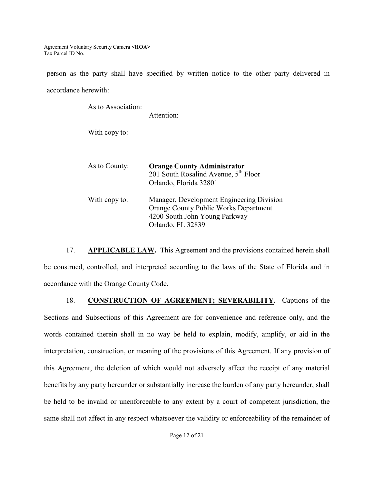person as the party shall have specified by written notice to the other party delivered in accordance herewith:

| As to Association: | Attention:                                                                                                                                      |
|--------------------|-------------------------------------------------------------------------------------------------------------------------------------------------|
| With copy to:      |                                                                                                                                                 |
| As to County:      | <b>Orange County Administrator</b><br>201 South Rosalind Avenue, 5 <sup>th</sup> Floor<br>Orlando, Florida 32801                                |
| With copy to:      | Manager, Development Engineering Division<br><b>Orange County Public Works Department</b><br>4200 South John Young Parkway<br>Orlando, FL 32839 |

17. **APPLICABLE LAW.** This Agreement and the provisions contained herein shall be construed, controlled, and interpreted according to the laws of the State of Florida and in accordance with the Orange County Code.

18. **CONSTRUCTION OF AGREEMENT; SEVERABILITY***.* Captions of the Sections and Subsections of this Agreement are for convenience and reference only, and the words contained therein shall in no way be held to explain, modify, amplify, or aid in the interpretation, construction, or meaning of the provisions of this Agreement. If any provision of this Agreement, the deletion of which would not adversely affect the receipt of any material benefits by any party hereunder or substantially increase the burden of any party hereunder, shall be held to be invalid or unenforceable to any extent by a court of competent jurisdiction, the same shall not affect in any respect whatsoever the validity or enforceability of the remainder of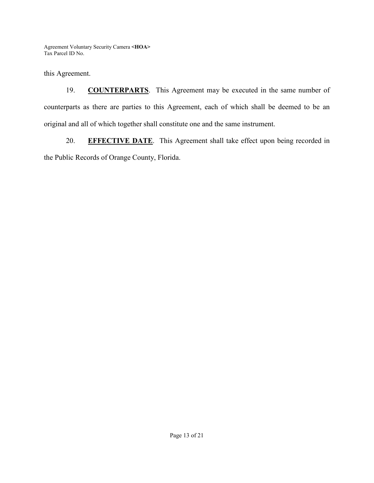this Agreement.

19. **COUNTERPARTS**. This Agreement may be executed in the same number of counterparts as there are parties to this Agreement, each of which shall be deemed to be an original and all of which together shall constitute one and the same instrument.

20. **EFFECTIVE DATE**. This Agreement shall take effect upon being recorded in the Public Records of Orange County, Florida.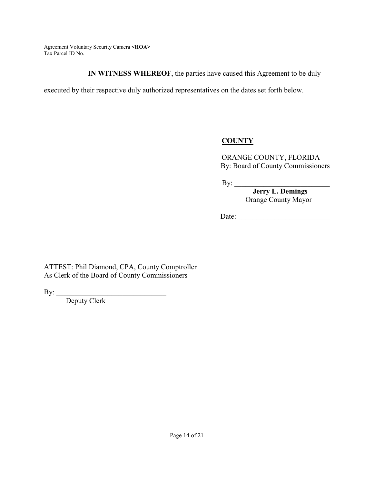**IN WITNESS WHEREOF**, the parties have caused this Agreement to be duly

executed by their respective duly authorized representatives on the dates set forth below.

## **COUNTY**

ORANGE COUNTY, FLORIDA By: Board of County Commissioners

By:

 **Jerry L. Demings**  Orange County Mayor

Date: \_\_\_\_\_\_\_\_\_\_\_\_\_\_\_\_\_\_\_\_\_\_\_\_\_

ATTEST: Phil Diamond, CPA, County Comptroller As Clerk of the Board of County Commissioners

By:  $\overline{\phantom{a}}$  ,  $\overline{\phantom{a}}$  ,  $\overline{\phantom{a}}$  ,  $\overline{\phantom{a}}$  ,  $\overline{\phantom{a}}$  ,  $\overline{\phantom{a}}$  ,  $\overline{\phantom{a}}$  ,  $\overline{\phantom{a}}$  ,  $\overline{\phantom{a}}$  ,  $\overline{\phantom{a}}$  ,  $\overline{\phantom{a}}$  ,  $\overline{\phantom{a}}$  ,  $\overline{\phantom{a}}$  ,  $\overline{\phantom{a}}$  ,  $\overline{\phantom{a}}$  ,  $\overline{\phantom{a}}$ 

Deputy Clerk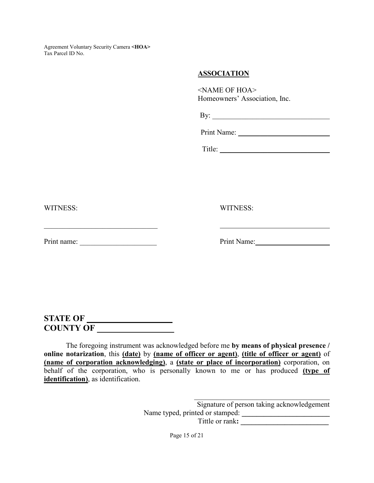#### **ASSOCIATION**

<NAME OF HOA> Homeowners' Association, Inc.

By: \_\_\_\_\_\_\_\_\_\_\_\_\_\_\_\_\_\_\_\_\_\_\_\_\_\_\_\_\_\_\_\_

Print Name:

Title: \_\_\_\_\_\_\_\_\_\_\_\_\_\_\_\_\_\_\_\_\_\_\_\_\_\_\_\_\_\_

WITNESS: WITNESS:

Print name: \_\_\_\_\_\_\_\_\_\_\_\_\_\_\_\_\_\_\_\_\_ Print Name:

## **STATE OF \_\_\_\_\_\_\_\_\_\_\_\_\_\_\_\_\_\_\_\_ COUNTY OF \_\_\_\_\_\_\_\_\_\_\_\_\_\_\_\_\_\_**

The foregoing instrument was acknowledged before me **by means of physical presence / online notarization**, this **(date)** by **(name of officer or agent)**, **(title of officer or agent)** of **(name of corporation acknowledging)**, a **(state or place of incorporation)** corporation, on behalf of the corporation, who is personally known to me or has produced **(type of identification)**, as identification.

> \_\_\_\_\_\_\_\_\_\_\_\_\_\_\_\_\_\_\_\_\_\_\_\_\_\_\_\_\_\_\_\_\_\_\_\_\_ Signature of person taking acknowledgement Name typed, printed or stamped: **\_\_\_\_\_\_\_\_\_\_\_\_\_\_\_\_\_\_\_\_\_\_\_\_**  Tittle or rank**: \_\_\_\_\_\_\_\_\_\_\_\_\_\_\_\_\_\_\_\_\_\_\_\_**

> > Page 15 of 21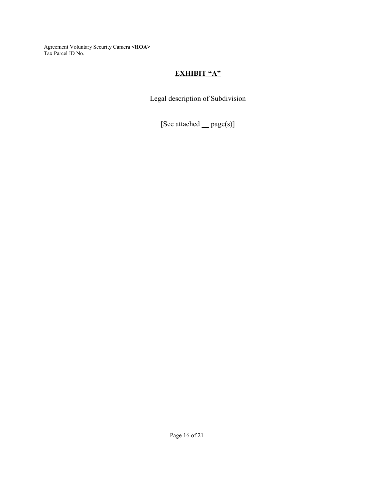## **EXHIBIT "A"**

Legal description of Subdivision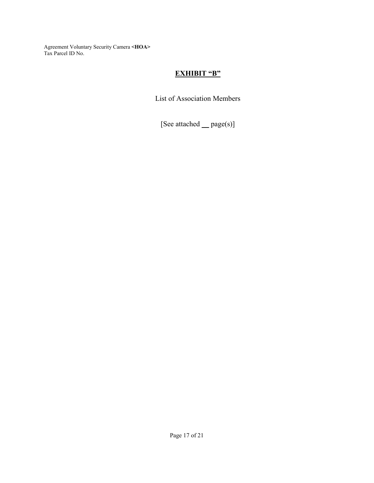### **EXHIBIT "B"**

List of Association Members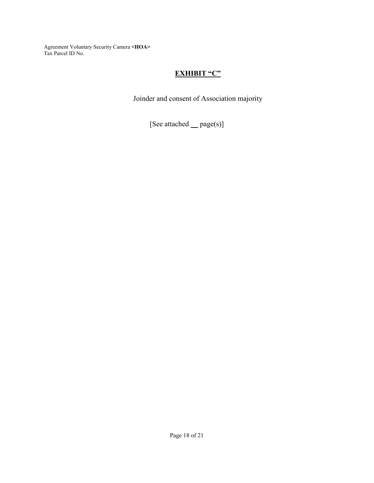## **EXHIBIT "C"**

Joinder and consent of Association majority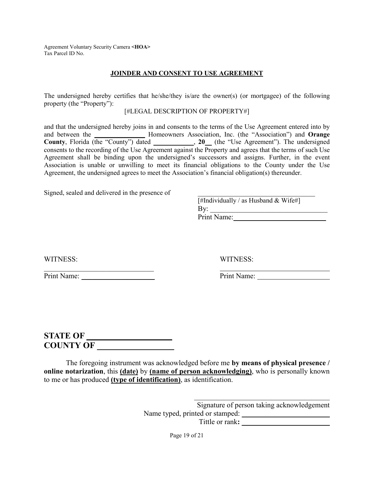#### **JOINDER AND CONSENT TO USE AGREEMENT**

The undersigned hereby certifies that he/she/they is/are the owner(s) (or mortgagee) of the following property (the "Property"):

#### [#LEGAL DESCRIPTION OF PROPERTY#]

and that the undersigned hereby joins in and consents to the terms of the Use Agreement entered into by and between the **\_\_\_\_\_\_\_\_\_\_\_\_\_\_\_** Homeowners Association, Inc. (the "Association") and **Orange County**, Florida (the "County") dated **\_\_\_\_\_\_\_\_\_\_\_\_**, **20\_\_** (the "Use Agreement"). The undersigned consents to the recording of the Use Agreement against the Property and agrees that the terms of such Use Agreement shall be binding upon the undersigned's successors and assigns. Further, in the event Association is unable or unwilling to meet its financial obligations to the County under the Use Agreement, the undersigned agrees to meet the Association's financial obligation(s) thereunder.

Signed, sealed and delivered in the presence of

| [#Individually / as Husband & Wife#] |
|--------------------------------------|
|                                      |
| Print Name:                          |

\_\_\_\_\_\_\_\_\_\_\_\_\_\_\_\_\_\_\_\_\_\_\_\_\_\_\_\_\_\_ Print Name: **Print Name:** Print Name:

WITNESS: WITNESS:

## **STATE OF \_\_\_\_\_\_\_\_\_\_\_\_\_\_\_\_\_\_\_\_ COUNTY OF \_\_\_\_\_\_\_\_\_\_\_\_\_\_\_\_\_\_**

The foregoing instrument was acknowledged before me **by means of physical presence / online notarization**, this **(date)** by **(name of person acknowledging)**, who is personally known to me or has produced **(type of identification)**, as identification.

> Signature of person taking acknowledgement Name typed, printed or stamped: **\_\_\_\_\_\_\_\_\_\_\_\_\_\_\_\_\_\_\_\_\_\_\_\_**  Tittle or rank:

\_\_\_\_\_\_\_\_\_\_\_\_\_\_\_\_\_\_\_\_\_\_\_\_\_\_\_\_\_\_\_\_\_\_\_\_\_

Page 19 of 21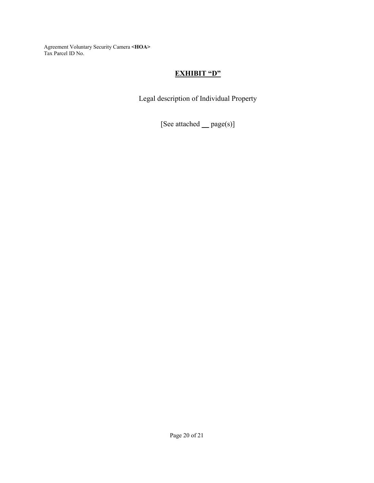## **EXHIBIT "D"**

Legal description of Individual Property